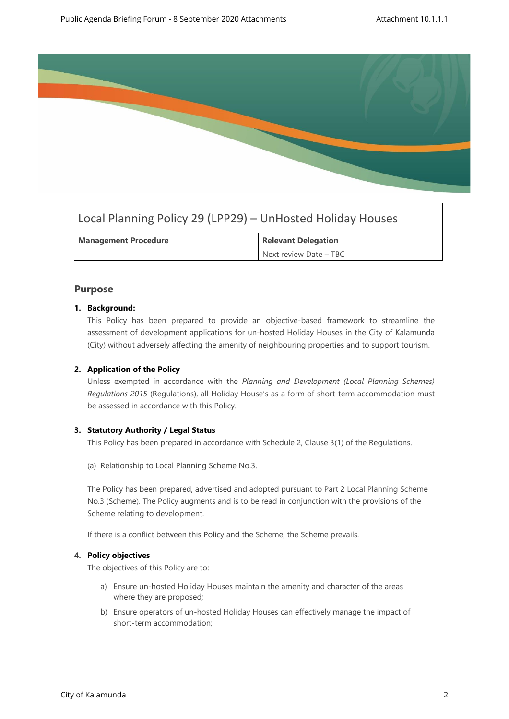

# Local Planning Policy 29 (LPP29) – UnHosted Holiday Houses

| <b>Management Procedure</b> | <b>Relevant Delegation</b> |
|-----------------------------|----------------------------|
|                             | Next review Date - TBC     |

# **Purpose**

## **1. Background:**

This Policy has been prepared to provide an objective-based framework to streamline the assessment of development applications for un-hosted Holiday Houses in the City of Kalamunda (City) without adversely affecting the amenity of neighbouring properties and to support tourism.

# **2. Application of the Policy**

Unless exempted in accordance with the *Planning and Development (Local Planning Schemes) Regulations 2015* (Regulations), all Holiday House's as a form of short-term accommodation must be assessed in accordance with this Policy.

#### **3. Statutory Authority / Legal Status**

This Policy has been prepared in accordance with Schedule 2, Clause 3(1) of the Regulations.

(a) Relationship to Local Planning Scheme No.3.

The Policy has been prepared, advertised and adopted pursuant to Part 2 Local Planning Scheme No.3 (Scheme). The Policy augments and is to be read in conjunction with the provisions of the Scheme relating to development.

If there is a conflict between this Policy and the Scheme, the Scheme prevails.

#### **4. Policy objectives**

The objectives of this Policy are to:

- a) Ensure un-hosted Holiday Houses maintain the amenity and character of the areas where they are proposed;
- b) Ensure operators of un-hosted Holiday Houses can effectively manage the impact of short-term accommodation;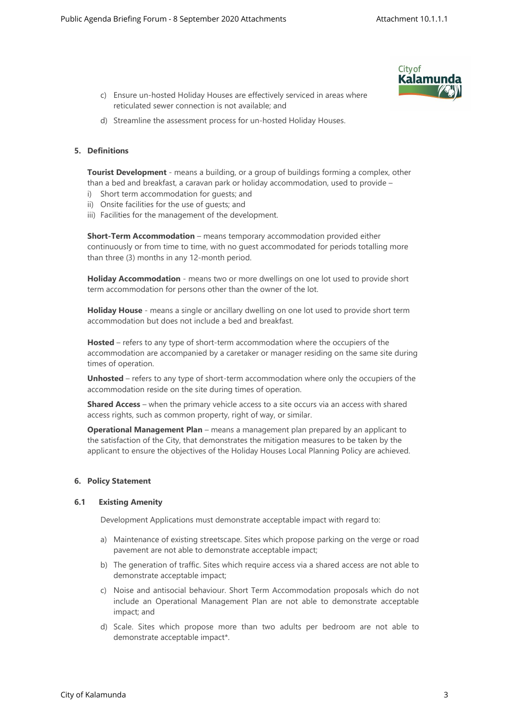

- c) Ensure un-hosted Holiday Houses are effectively serviced in areas where reticulated sewer connection is not available; and
- d) Streamline the assessment process for un-hosted Holiday Houses.

#### **5. Definitions**

**Tourist Development** - means a building, or a group of buildings forming a complex, other than a bed and breakfast, a caravan park or holiday accommodation, used to provide –

- i) Short term accommodation for guests; and
- ii) Onsite facilities for the use of guests; and
- iii) Facilities for the management of the development.

**Short-Term Accommodation** – means temporary accommodation provided either continuously or from time to time, with no guest accommodated for periods totalling more than three (3) months in any 12-month period.

**Holiday Accommodation** - means two or more dwellings on one lot used to provide short term accommodation for persons other than the owner of the lot.

**Holiday House** - means a single or ancillary dwelling on one lot used to provide short term accommodation but does not include a bed and breakfast.

**Hosted** – refers to any type of short-term accommodation where the occupiers of the accommodation are accompanied by a caretaker or manager residing on the same site during times of operation.

**Unhosted** – refers to any type of short-term accommodation where only the occupiers of the accommodation reside on the site during times of operation.

**Shared Access** – when the primary vehicle access to a site occurs via an access with shared access rights, such as common property, right of way, or similar.

**Operational Management Plan** – means a management plan prepared by an applicant to the satisfaction of the City, that demonstrates the mitigation measures to be taken by the applicant to ensure the objectives of the Holiday Houses Local Planning Policy are achieved.

#### **6. Policy Statement**

#### **6.1 Existing Amenity**

Development Applications must demonstrate acceptable impact with regard to:

- a) Maintenance of existing streetscape. Sites which propose parking on the verge or road pavement are not able to demonstrate acceptable impact;
- b) The generation of traffic. Sites which require access via a shared access are not able to demonstrate acceptable impact;
- c) Noise and antisocial behaviour. Short Term Accommodation proposals which do not include an Operational Management Plan are not able to demonstrate acceptable impact; and
- d) Scale. Sites which propose more than two adults per bedroom are not able to demonstrate acceptable impact\*.